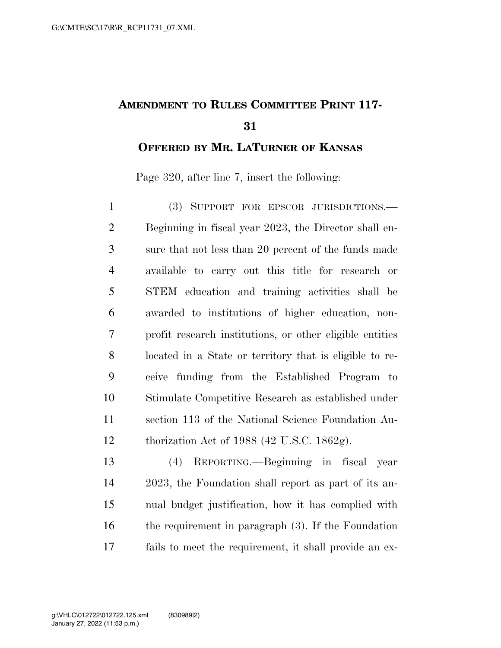## **AMENDMENT TO RULES COMMITTEE PRINT 117-**

**OFFERED BY MR. LATURNER OF KANSAS**

Page 320, after line 7, insert the following:

 (3) SUPPORT FOR EPSCOR JURISDICTIONS.— Beginning in fiscal year 2023, the Director shall en- sure that not less than 20 percent of the funds made available to carry out this title for research or STEM education and training activities shall be awarded to institutions of higher education, non- profit research institutions, or other eligible entities located in a State or territory that is eligible to re- ceive funding from the Established Program to Stimulate Competitive Research as established under section 113 of the National Science Foundation Au-thorization Act of 1988 (42 U.S.C. 1862g).

 (4) REPORTING.—Beginning in fiscal year 2023, the Foundation shall report as part of its an- nual budget justification, how it has complied with the requirement in paragraph (3). If the Foundation fails to meet the requirement, it shall provide an ex-